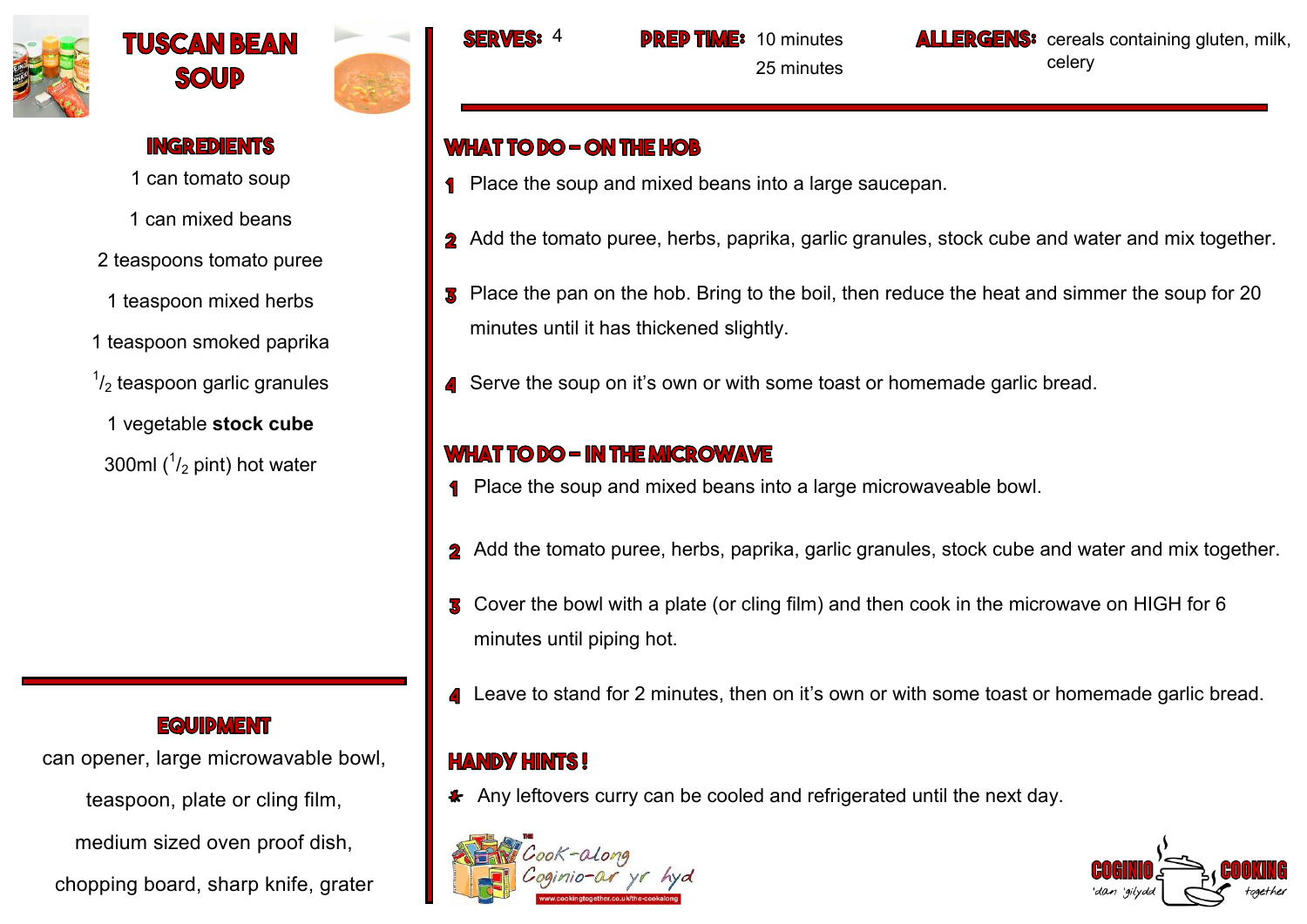





### **INGREDIENTS**

1 can tomato soup

1 can mixed beans

- 2 teaspoons tomato puree
- 1 teaspoon mixed herbs
- 1 teaspoon smoked paprika
- $\frac{1}{2}$  teaspoon garlic granules
	- 1 vegetable **stock cube**
- 300ml  $(^{1}/_{2}$  pint) hot water

## **EQUIDMENT**

can opener, large microwavable bowl, teaspoon, plate or cling film,

medium sized oven proof dish,

chopping board, sharp knife, grater



10 minutes

25 minutes

**ALLERGENS:** cereals containing gluten, milk, celery

# **WHAT TO DO - ON THE HOB**

- **1** Place the soup and mixed beans into a large saucepan.
- 2 Add the tomato puree, herbs, paprika, garlic granules, stock cube and water and mix together.
- **3** Place the pan on the hob. Bring to the boil, then reduce the heat and simmer the soup for 20 minutes until it has thickened slightly.
- Serve the soup on it's own or with some toast or homemade garlic bread.

# **WHAT TO DO - IN THE MICROWAVE**

- Place the soup and mixed beans into a large microwaveable bowl.
- 2 Add the tomato puree, herbs, paprika, garlic granules, stock cube and water and mix together.
- Cover the bowl with a plate (or cling film) and then cook in the microwave on HIGH for 6 minutes until piping hot.
- **4** Leave to stand for 2 minutes, then on it's own or with some toast or homemade garlic bread.

# **HANDY HINTS!**

\* Any leftovers curry can be cooled and refrigerated until the next day.